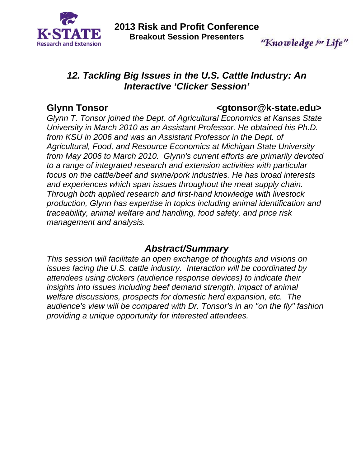

"Knowledge for Life"

# *12. Tackling Big Issues in the U.S. Cattle Industry: An Interactive 'Clicker Session'*

### **Glynn Tonsor <gtonsor@k-state.edu>**

*Glynn T. Tonsor joined the Dept. of Agricultural Economics at Kansas State University in March 2010 as an Assistant Professor. He obtained his Ph.D. from KSU in 2006 and was an Assistant Professor in the Dept. of Agricultural, Food, and Resource Economics at Michigan State University from May 2006 to March 2010. Glynn's current efforts are primarily devoted to a range of integrated research and extension activities with particular focus on the cattle/beef and swine/pork industries. He has broad interests and experiences which span issues throughout the meat supply chain. Through both applied research and first-hand knowledge with livestock production, Glynn has expertise in topics including animal identification and traceability, animal welfare and handling, food safety, and price risk management and analysis.* 

## *Abstract/Summary*

*This session will facilitate an open exchange of thoughts and visions on issues facing the U.S. cattle industry. Interaction will be coordinated by attendees using clickers (audience response devices) to indicate their insights into issues including beef demand strength, impact of animal welfare discussions, prospects for domestic herd expansion, etc. The audience's view will be compared with Dr. Tonsor's in an "on the fly" fashion providing a unique opportunity for interested attendees.*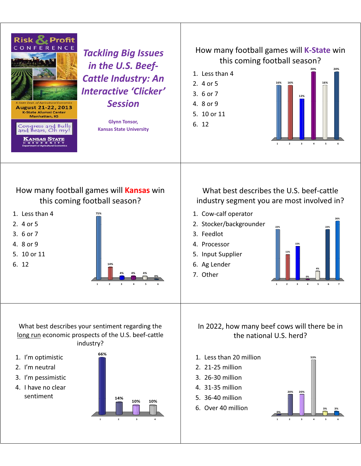

- 2. I'm neutral
- 3. I'm-pessimistic
- 4. I have no clear sentiment



- 2. 21-25 million
- 3. 26-30 million
- 4. 31-35 million
- 5. 36-40 million
- 6. Over 40 million

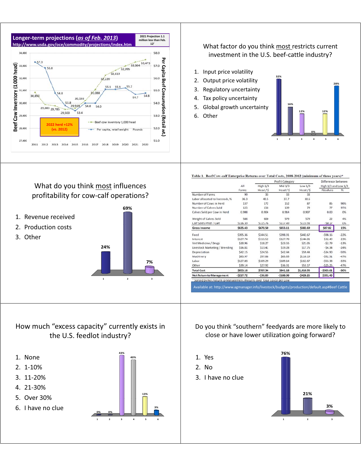

What do you think most influences profitability for cow-calf operations?

**24%**

#### What factor do you think most restricts current investment in the U.S. beef-cattle industry?

- 1. Input price volatility
- 2. Output price volatility
- 3. Regulatory uncertainty
- 4. Tax policy uncertainty
- 5. Global growth uncertainty
- 6. Other



Table 1. Beef Cow-calf Enterprise Returns over Total Costs, 2008-2012 (minimum of three years)\*

|                                 |            |                       | Profit Category | Difference between<br>High 1/3 and Low 1/3 |            |        |
|---------------------------------|------------|-----------------------|-----------------|--------------------------------------------|------------|--------|
|                                 | All        | High $1/3$<br>Mid 1/3 |                 |                                            |            |        |
|                                 | Farms      | Head / S              | Head / S        | Head / S                                   | Absolute   | %      |
| Number of Farms                 | 99         | 33                    | 33              | 33                                         |            |        |
| Labor allocated to livestock, % | 36.3       | 40.5                  | 37.7            | 30.6                                       |            |        |
| Number of Cows in Herd          | 137        | 172                   | 152             | 87                                         | 85         | 98%    |
| Number of Calves Sold           | 125        | 156                   | 139             | 79                                         | 77         | 97%    |
| Calves Sold per Cow in Herd     | 0.908      | 0.904                 | 0.914           | 0.907                                      | 0.00       | 0%     |
| Weight of Calves Sold           | 586        | 600                   | 579             | 579                                        | 22         | 4%     |
| Calf Sales Price / Cwt          | \$116.39   | \$115.76              | \$117.49        | \$115.93                                   | $-50.17$   | 0%     |
| <b>Gross Income</b>             | \$635.43   | \$670.50              | \$653.11        | \$582.69                                   | \$87.82    | 15%    |
| Feed                            | \$395.36   | \$344.51              | \$398.91        | \$442.67                                   | $-598.16$  | $-22%$ |
| Interest                        | \$127.74   | \$111.52              | \$127.70        | \$144.01                                   | $-532.49$  | $-23%$ |
| Vet Medicine / Drugs            | \$20.96    | \$18.27               | \$23.55         | \$21.05                                    | $-52.79$   | $-13%$ |
| Livestock Marketing / Breeding  | \$16.81    | \$13.41               | \$19.28         | \$17.75                                    | $-54.34$   | $-24%$ |
| Depreciation                    | \$42.15    | \$24.55               | S42.44          | \$59.44                                    | $-534.90$  | $-59%$ |
| Machinery                       | \$83.97    | \$57.88               | \$83.85         | \$110.19                                   | $-552.31$  | $-47%$ |
| Labor                           | \$127.03   | \$109.29              | \$109.14        | \$162.67                                   | $-553.38$  | $-33%$ |
| Other                           | \$39.14    | \$27.92               | \$36.31         | \$53.17                                    | $-525.25$  | $-47%$ |
| <b>Total Cost</b>               | \$853.16   | \$707.34              | \$841.18        | \$1,010.95                                 | $-5303.61$ | $-30%$ |
| <b>Net Return to Management</b> | $-5217.72$ | $-536.83$             | $-5188.08$      | $-5428.26$                                 | \$391.43   |        |

How much "excess capacity" currently exists in the U.S. feedlot industry?

- 1. None
- 2. 1-10%
- 3. 11-20%
- 4. 2130%
- 5. Over 30%
- 6. I have no clue

1. Revenue received 2. Production costs

3. Other



**69%**

1 2 3

**7%**

#### Do you think "southern" feedyards are more likely to close or have lower utilization going forward?

- 1. Yes-
- 2. No-
- 3. I have no clue

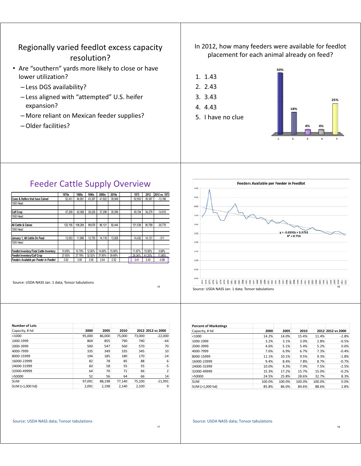#### Regionally varied feedlot excess capacity resolution?

- Are "southern" yards more likely to close or have lower utilization?
	- Less DGS availability?
	- Less aligned with "attempted" U.S. heifer expansion?
	- More reliant on Mexican feeder supplies?
	- Older facilities?

In 2012, how many feeders were available for feedlot placement for each animal already on feed?

1. 1.43

2. 2.43 3. 3.43

5. I have no clue



#### Feeder Cattle Supply Overview

|                                          | 1970s   | 1980s   | 1990s  | 2000s  | 2010s  | 1973    | 2012   | 2012 vs. 1973 |
|------------------------------------------|---------|---------|--------|--------|--------|---------|--------|---------------|
| Cows & Heifers that have Calved          | 52.431  | 46.681  | 43.397 | 41.922 | 39.948 | 52.553  | 39.387 | $-13.166$     |
| 1000 Head                                |         |         |        |        |        |         |        |               |
|                                          |         |         |        |        |        |         |        |               |
| <b>Calf Crop</b>                         | 47.208  | 42.068  | 39.226 | 37.298 | 35,096 | 49.194  | 34.279 | $-14.915$     |
| 1000 Head                                |         |         |        |        |        |         |        |               |
|                                          |         |         |        |        |        |         |        |               |
| All Cattle & Calves                      | 122.156 | 108.284 | 99.676 | 96.121 | 92.444 | 121,539 | 90.769 | $-30.770$     |
| 1000 Head                                |         |         |        |        |        |         |        |               |
|                                          |         |         |        |        |        |         |        |               |
| January 1. All Cattle On Feed            | 13.053  | 11.686  | 12.755 | 14.118 | 13.926 | 14.432  | 14.121 | $-311$        |
| 1000 Head                                |         |         |        |        |        |         |        |               |
|                                          |         |         |        |        |        |         |        |               |
| Feedlot Inventory/Total Cattle Inventory | 10.69%  | 10.79%  | 12.80% | 14.69% | 15.06% | 11.87%  | 15.56% | 3.68%         |
| Feedlot Inventory/Calf Crop              | 27.65%  | 27.78%  | 32.52% | 37.85% | 39.68% | 29.34%  | 41.20% | 11.86%        |
| Feeders Available per Feeder in Feedlot  | 3.62    | 3.60    | 3.08   | 2.64   | 2.52   | 3.41    | 2.43   | $-0.98$       |
|                                          |         |         |        |        |        |         |        |               |

Source: USDA NASS Jan. 1 data; Tonsor tabulations

| <b>Number of Lots</b> |        |        |        |        |                   |
|-----------------------|--------|--------|--------|--------|-------------------|
| Capacity, # hd        | 2000   | 2005   | 2010   |        | 2012 2012 vs 2000 |
| $<$ 1000              | 95,000 | 86,000 | 75,000 | 73,000 | $-22,000$         |
| 1000-1999             | 804    | 855    | 790    | 740    | $-64$             |
| 2000-3999             | 500    | 547    | 560    | 570    | 70                |
| 4000-7999             | 335    | 349    | 335    | 345    | 10                |
| 8000-15999            | 194    | 185    | 180    | 170    | $-24$             |
| 16000-23999           | 82     | 78     | 85     | 88     | 6                 |
| 24000-31999           | 60     | 58     | 55     | 55     | -5                |
| 32000-49999           | 64     | 70     | 71     | 66     | $\overline{2}$    |
| >50000                | 52     | 56     | 64     | 66     | 14                |
| <b>SUM</b>            | 97.091 | 88,198 | 77,140 | 75,100 | $-21.991$         |
| SUM (>1,000 hd)       | 2.091  | 2,198  | 2.140  | 2.100  | 9                 |



| <b>Percent of Marketings</b> |        |        |        |        |                   |
|------------------------------|--------|--------|--------|--------|-------------------|
| Capacity, # hd               | 2000   | 2005   | 2010   |        | 2012 2012 vs 2000 |
| < 1000                       | 14.2%  | 14.0%  | 15.4%  | 11.4%  | $-2.8%$           |
| 1000-1999                    | 3.2%   | 3.1%   | 3.0%   | 2.8%   | $-0.5%$           |
| 2000-3999                    | 4.6%   | 5.1%   | 5.4%   | 5.2%   | 0.6%              |
| 4000-7999                    | 7.6%   | 6.9%   | 6.7%   | 7.3%   | $-0.4%$           |
| 8000-15999                   | 11.1%  | 10.1%  | 9.5%   | 9.3%   | $-1.8%$           |
| 16000-23999                  | 9.4%   | 8.4%   | 7.8%   | 8.7%   | $-0.7%$           |
| 24000-31999                  | 10.0%  | 9.3%   | 7.9%   | 7.5%   | $-2.5%$           |
| 32000-49999                  | 15.3%  | 17.2%  | 15.7%  | 15.0%  | $-0.2%$           |
| >50000                       | 24.5%  | 25.8%  | 28.6%  | 32.7%  | 8.3%              |
| <b>SUM</b>                   | 100.0% | 100.0% | 100.0% | 100.0% | 0.0%              |
| SUM (>1,000 hd)              | 85.8%  | 86.0%  | 84.6%  | 88.6%  | 2.8%              |

#### Source: USDA NASS data; Tonsor tabulations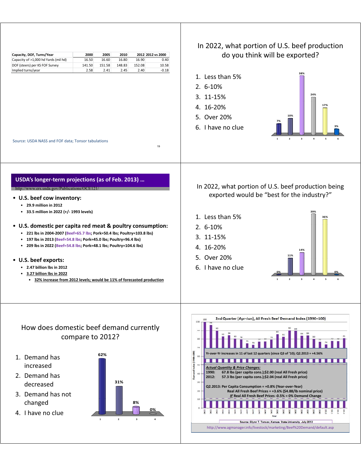

#### How does domestic beef demand currently compare to 2012?

- 1. Demand has 62% increased
- 2. Demand has decreased
- 3. Demand has not changed-
- 4. I have no clue



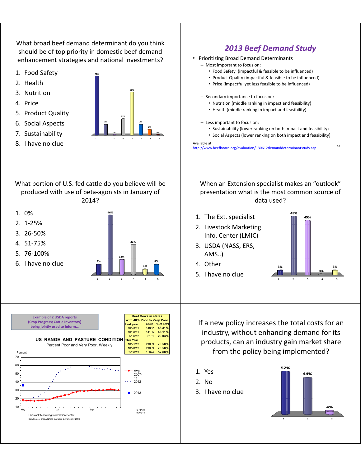What broad beef demand determinant do you think should be of top priority in domestic beef demand enhancement strategies and national investments? 1. Food Safety **41%** 2. Health **30%** 3. Nutrition-4. Price **11%** 5. Product Quality **7% 0% 0% 4% 6. Social Aspects 1 8 % 1 % % 1 % % 6. Social Aspects** 7. Sustainability **12345678** 8. I have no clue *2013 Beef Demand Study 2013 Beef Demand* • Prioritizing Broad Demand Determinants - Most important to focus on: • Food Safety (impactful & feasible to be influenced) • Product Quality (impactful & feasible to be influenced) • Price (impactful yet less feasible to be influenced) - Secondary importance to focus on: • Nutrition (middle ranking in impact and feasibility) • Health (middle ranking in impact and feasibility) - Less important to focus on: • Sustainability (lower ranking on both impact and feasibility) • Social Aspects (lower ranking on both impact and feasibility) 26 Available at: http://www.beefboard.org/evaluation/130612demanddeterminantstudy.asp What portion of U.S. fed cattle do you believe will be produced with use of beta-agonists in January of 2014? **46%** 1. 0%- $2.1 - 25%$ **23%** 3. 26-50% 4. 51-75% **12%** 5. 76-100% **8% 8%** 6. I-have-noclue **4% 123456** When an Extension specialist makes an "outlook" presentation what is the most common source of data used? **48%** 1. The Ext. specialist **45%** 2. Livestock Marketing Info. Center (LMIC) 3. USDA (NASS, ERS, AMS..) **3% 3% 0%** 4. Other 5. I have no clue **1245 1245 Last year** Cows<br>10/23/11 14862 10/23/11 14862 **48.31% 46 11% Beef Cows in states Example of 2 USDA reports**<br> **a u i left Cows in states** (Crop Progress; Cattle Inventory) **being jointly used to inform... US RANGE AND PASTURE CONDITION** Percent Poor and Very Poor, Weekly 10/30/11 14185 **46.11%**05/06/12 6161 **20.03% This Year** 10/21/12 21009 **70.50%** 10/28/12 21009 **70 50%** 60 70 Percent **70.50%**05/06/13 40 50 Avg. 2007- 11 2012  $20$ 30 2013 10 May Jul Sep G-NP-30 G-NP-30<br>05/06/13 Livestock Marketing Information Cente Data Source: USDA-NASS, Compiled & Analysis by LMIC If a new policy increases the total costs for an industry, without enhancing demand for its products, can an industry gain market share from the policy being implemented? **52%** 1. Yes **44%** 2. No 3. I have no clue **4%** 1 2 3